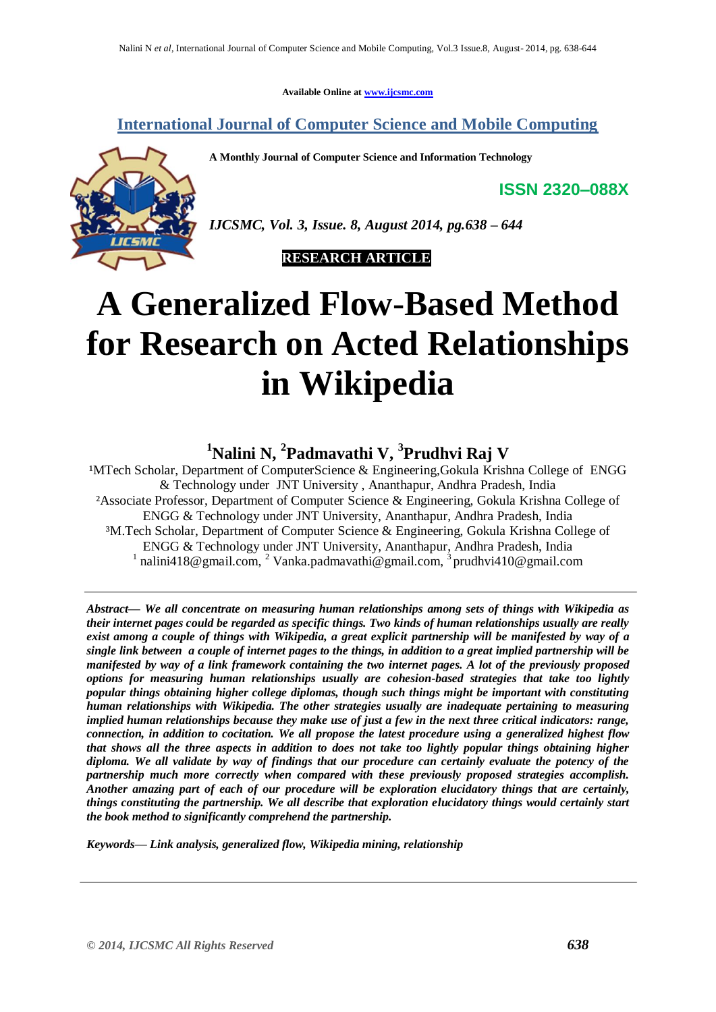**Available Online at [www.ijcsmc.com](http://www.ijcsmc.com/)**

# **International Journal of Computer Science and Mobile Computing**

**A Monthly Journal of Computer Science and Information Technology**

**ISSN 2320–088X**



*IJCSMC, Vol. 3, Issue. 8, August 2014, pg.638 – 644*

 **RESEARCH ARTICLE**

# **A Generalized Flow-Based Method for Research on Acted Relationships in Wikipedia**

# **<sup>1</sup>Nalini N, 2 Padmavathi V, 3 Prudhvi Raj V**

<sup>1</sup>MTech Scholar, Department of ComputerScience & Engineering, Gokula Krishna College of ENGG & Technology under JNT University , Ananthapur, Andhra Pradesh, India ²Associate Professor, Department of Computer Science & Engineering, Gokula Krishna College of ENGG & Technology under JNT University, Ananthapur, Andhra Pradesh, India ³M.Tech Scholar, Department of Computer Science & Engineering, Gokula Krishna College of ENGG & Technology under JNT University, Ananthapur, Andhra Pradesh, India <sup>1</sup> nalini418@gmail.com, <sup>2</sup> Vanka.padmavathi@gmail.com, <sup>3</sup> prudhvi410@gmail.com

*Abstract— We all concentrate on measuring human relationships among sets of things with Wikipedia as their internet pages could be regarded as specific things. Two kinds of human relationships usually are really exist among a couple of things with Wikipedia, a great explicit partnership will be manifested by way of a single link between a couple of internet pages to the things, in addition to a great implied partnership will be manifested by way of a link framework containing the two internet pages. A lot of the previously proposed options for measuring human relationships usually are cohesion-based strategies that take too lightly popular things obtaining higher college diplomas, though such things might be important with constituting human relationships with Wikipedia. The other strategies usually are inadequate pertaining to measuring implied human relationships because they make use of just a few in the next three critical indicators: range, connection, in addition to cocitation. We all propose the latest procedure using a generalized highest flow that shows all the three aspects in addition to does not take too lightly popular things obtaining higher diploma. We all validate by way of findings that our procedure can certainly evaluate the potency of the partnership much more correctly when compared with these previously proposed strategies accomplish. Another amazing part of each of our procedure will be exploration elucidatory things that are certainly, things constituting the partnership. We all describe that exploration elucidatory things would certainly start the book method to significantly comprehend the partnership.*

*Keywords— Link analysis, generalized flow, Wikipedia mining, relationship*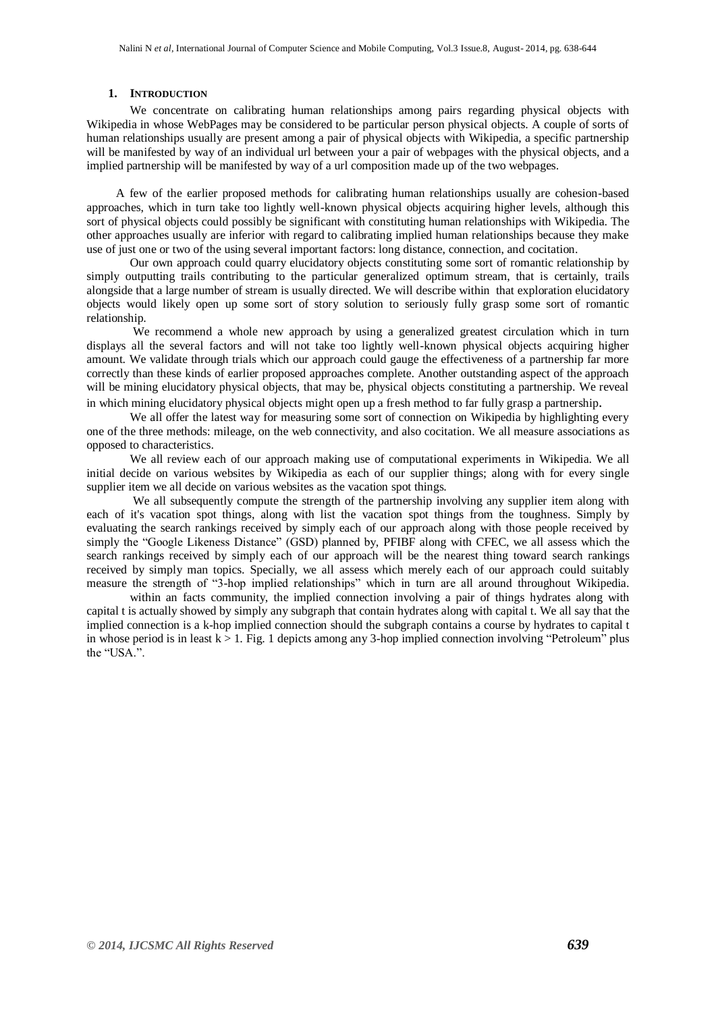#### **1. INTRODUCTION**

We concentrate on calibrating human relationships among pairs regarding physical objects with Wikipedia in whose WebPages may be considered to be particular person physical objects. A couple of sorts of human relationships usually are present among a pair of physical objects with Wikipedia, a specific partnership will be manifested by way of an individual url between your a pair of webpages with the physical objects, and a implied partnership will be manifested by way of a url composition made up of the two webpages.

A few of the earlier proposed methods for calibrating human relationships usually are cohesion-based approaches, which in turn take too lightly well-known physical objects acquiring higher levels, although this sort of physical objects could possibly be significant with constituting human relationships with Wikipedia. The other approaches usually are inferior with regard to calibrating implied human relationships because they make use of just one or two of the using several important factors: long distance, connection, and cocitation.

Our own approach could quarry elucidatory objects constituting some sort of romantic relationship by simply outputting trails contributing to the particular generalized optimum stream, that is certainly, trails alongside that a large number of stream is usually directed. We will describe within that exploration elucidatory objects would likely open up some sort of story solution to seriously fully grasp some sort of romantic relationship.

We recommend a whole new approach by using a generalized greatest circulation which in turn displays all the several factors and will not take too lightly well-known physical objects acquiring higher amount. We validate through trials which our approach could gauge the effectiveness of a partnership far more correctly than these kinds of earlier proposed approaches complete. Another outstanding aspect of the approach will be mining elucidatory physical objects, that may be, physical objects constituting a partnership. We reveal in which mining elucidatory physical objects might open up a fresh method to far fully grasp a partnership.

We all offer the latest way for measuring some sort of connection on Wikipedia by highlighting every one of the three methods: mileage, on the web connectivity, and also cocitation. We all measure associations as opposed to characteristics.

We all review each of our approach making use of computational experiments in Wikipedia. We all initial decide on various websites by Wikipedia as each of our supplier things; along with for every single supplier item we all decide on various websites as the vacation spot things.

We all subsequently compute the strength of the partnership involving any supplier item along with each of it's vacation spot things, along with list the vacation spot things from the toughness. Simply by evaluating the search rankings received by simply each of our approach along with those people received by simply the "Google Likeness Distance" (GSD) planned by, PFIBF along with CFEC, we all assess which the search rankings received by simply each of our approach will be the nearest thing toward search rankings received by simply man topics. Specially, we all assess which merely each of our approach could suitably measure the strength of "3-hop implied relationships" which in turn are all around throughout Wikipedia.

within an facts community, the implied connection involving a pair of things hydrates along with capital t is actually showed by simply any subgraph that contain hydrates along with capital t. We all say that the implied connection is a k-hop implied connection should the subgraph contains a course by hydrates to capital t in whose period is in least  $k > 1$ . Fig. 1 depicts among any 3-hop implied connection involving "Petroleum" plus the "USA.".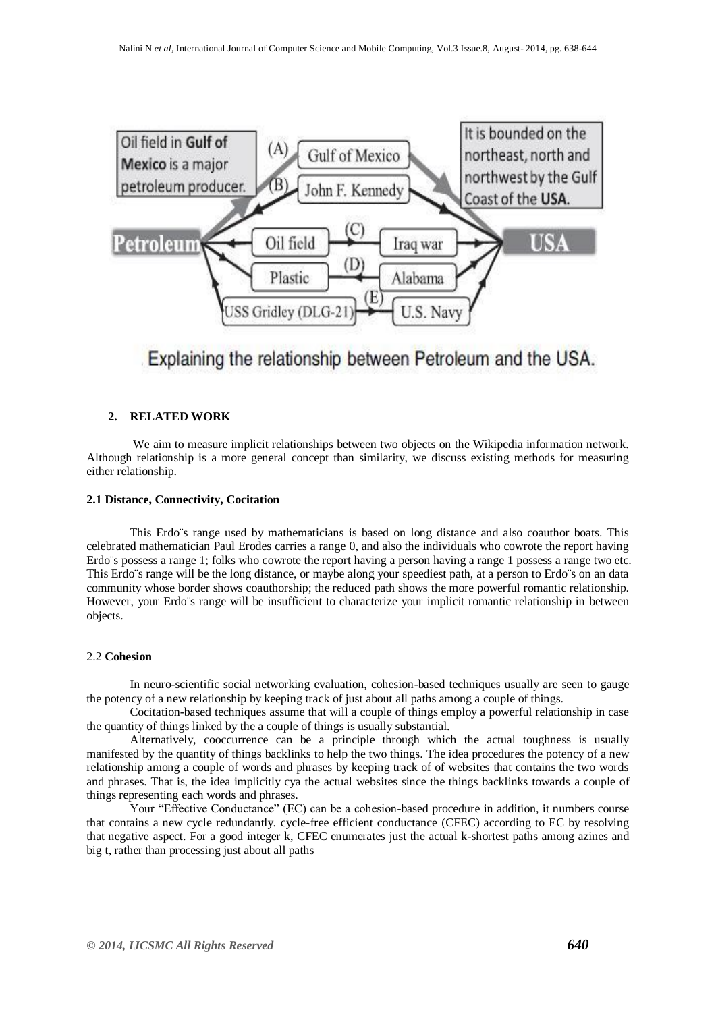

# Explaining the relationship between Petroleum and the USA.

# **2. RELATED WORK**

We aim to measure implicit relationships between two objects on the Wikipedia information network. Although relationship is a more general concept than similarity, we discuss existing methods for measuring either relationship.

### **2.1 Distance, Connectivity, Cocitation**

This Erdo¨s range used by mathematicians is based on long distance and also coauthor boats. This celebrated mathematician Paul Erodes carries a range 0, and also the individuals who cowrote the report having Erdo¨s possess a range 1; folks who cowrote the report having a person having a range 1 possess a range two etc. This Erdo¨s range will be the long distance, or maybe along your speediest path, at a person to Erdo¨s on an data community whose border shows coauthorship; the reduced path shows the more powerful romantic relationship. However, your Erdo¨s range will be insufficient to characterize your implicit romantic relationship in between objects.

#### 2.2 **Cohesion**

In neuro-scientific social networking evaluation, cohesion-based techniques usually are seen to gauge the potency of a new relationship by keeping track of just about all paths among a couple of things.

Cocitation-based techniques assume that will a couple of things employ a powerful relationship in case the quantity of things linked by the a couple of things is usually substantial.

Alternatively, cooccurrence can be a principle through which the actual toughness is usually manifested by the quantity of things backlinks to help the two things. The idea procedures the potency of a new relationship among a couple of words and phrases by keeping track of of websites that contains the two words and phrases. That is, the idea implicitly cya the actual websites since the things backlinks towards a couple of things representing each words and phrases.

Your "Effective Conductance" (EC) can be a cohesion-based procedure in addition, it numbers course that contains a new cycle redundantly. cycle-free efficient conductance (CFEC) according to EC by resolving that negative aspect. For a good integer k, CFEC enumerates just the actual k-shortest paths among azines and big t, rather than processing just about all paths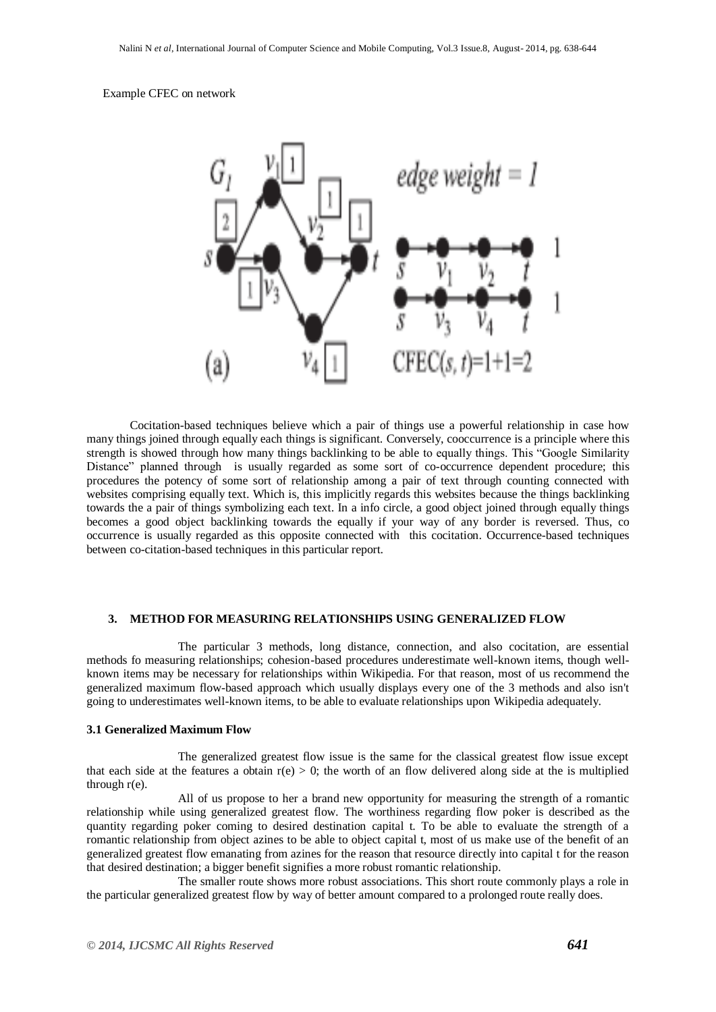#### Example CFEC on network



Cocitation-based techniques believe which a pair of things use a powerful relationship in case how many things joined through equally each things is significant. Conversely, cooccurrence is a principle where this strength is showed through how many things backlinking to be able to equally things. This "Google Similarity Distance" planned through is usually regarded as some sort of co-occurrence dependent procedure; this procedures the potency of some sort of relationship among a pair of text through counting connected with websites comprising equally text. Which is, this implicitly regards this websites because the things backlinking towards the a pair of things symbolizing each text. In a info circle, a good object joined through equally things becomes a good object backlinking towards the equally if your way of any border is reversed. Thus, co occurrence is usually regarded as this opposite connected with this cocitation. Occurrence-based techniques between co-citation-based techniques in this particular report.

#### **3. METHOD FOR MEASURING RELATIONSHIPS USING GENERALIZED FLOW**

 The particular 3 methods, long distance, connection, and also cocitation, are essential methods fo measuring relationships; cohesion-based procedures underestimate well-known items, though wellknown items may be necessary for relationships within Wikipedia. For that reason, most of us recommend the generalized maximum flow-based approach which usually displays every one of the 3 methods and also isn't going to underestimates well-known items, to be able to evaluate relationships upon Wikipedia adequately.

#### **3.1 Generalized Maximum Flow**

The generalized greatest flow issue is the same for the classical greatest flow issue except that each side at the features a obtain  $r(e) > 0$ ; the worth of an flow delivered along side at the is multiplied through  $r(e)$ .

All of us propose to her a brand new opportunity for measuring the strength of a romantic relationship while using generalized greatest flow. The worthiness regarding flow poker is described as the quantity regarding poker coming to desired destination capital t. To be able to evaluate the strength of a romantic relationship from object azines to be able to object capital t, most of us make use of the benefit of an generalized greatest flow emanating from azines for the reason that resource directly into capital t for the reason that desired destination; a bigger benefit signifies a more robust romantic relationship.

The smaller route shows more robust associations. This short route commonly plays a role in the particular generalized greatest flow by way of better amount compared to a prolonged route really does.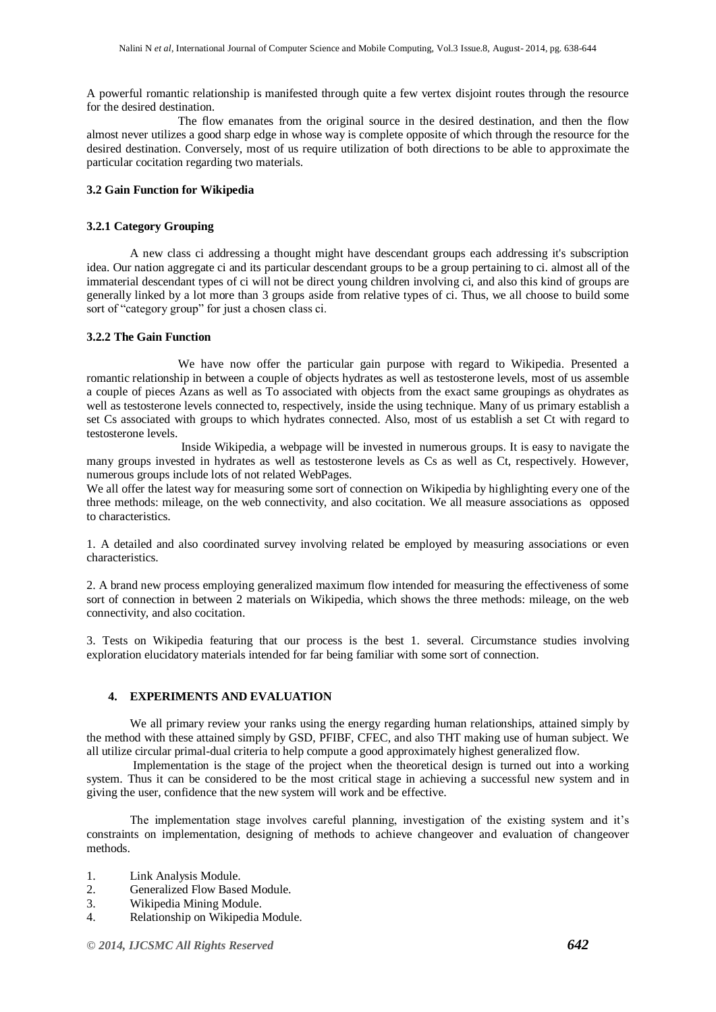A powerful romantic relationship is manifested through quite a few vertex disjoint routes through the resource for the desired destination.

The flow emanates from the original source in the desired destination, and then the flow almost never utilizes a good sharp edge in whose way is complete opposite of which through the resource for the desired destination. Conversely, most of us require utilization of both directions to be able to approximate the particular cocitation regarding two materials.

## **3.2 Gain Function for Wikipedia**

### **3.2.1 Category Grouping**

A new class ci addressing a thought might have descendant groups each addressing it's subscription idea. Our nation aggregate ci and its particular descendant groups to be a group pertaining to ci. almost all of the immaterial descendant types of ci will not be direct young children involving ci, and also this kind of groups are generally linked by a lot more than 3 groups aside from relative types of ci. Thus, we all choose to build some sort of "category group" for just a chosen class ci.

#### **3.2.2 The Gain Function**

We have now offer the particular gain purpose with regard to Wikipedia. Presented a romantic relationship in between a couple of objects hydrates as well as testosterone levels, most of us assemble a couple of pieces Azans as well as To associated with objects from the exact same groupings as ohydrates as well as testosterone levels connected to, respectively, inside the using technique. Many of us primary establish a set Cs associated with groups to which hydrates connected. Also, most of us establish a set Ct with regard to testosterone levels.

Inside Wikipedia, a webpage will be invested in numerous groups. It is easy to navigate the many groups invested in hydrates as well as testosterone levels as Cs as well as Ct, respectively. However, numerous groups include lots of not related WebPages.

We all offer the latest way for measuring some sort of connection on Wikipedia by highlighting every one of the three methods: mileage, on the web connectivity, and also cocitation. We all measure associations as opposed to characteristics.

1. A detailed and also coordinated survey involving related be employed by measuring associations or even characteristics.

2. A brand new process employing generalized maximum flow intended for measuring the effectiveness of some sort of connection in between 2 materials on Wikipedia, which shows the three methods: mileage, on the web connectivity, and also cocitation.

3. Tests on Wikipedia featuring that our process is the best 1. several. Circumstance studies involving exploration elucidatory materials intended for far being familiar with some sort of connection.

## **4. EXPERIMENTS AND EVALUATION**

We all primary review your ranks using the energy regarding human relationships, attained simply by the method with these attained simply by GSD, PFIBF, CFEC, and also THT making use of human subject. We all utilize circular primal-dual criteria to help compute a good approximately highest generalized flow.

Implementation is the stage of the project when the theoretical design is turned out into a working system. Thus it can be considered to be the most critical stage in achieving a successful new system and in giving the user, confidence that the new system will work and be effective.

The implementation stage involves careful planning, investigation of the existing system and it's constraints on implementation, designing of methods to achieve changeover and evaluation of changeover methods.

- 1. Link Analysis Module.
- 2. Generalized Flow Based Module.
- 3. Wikipedia Mining Module.
- 4. Relationship on Wikipedia Module.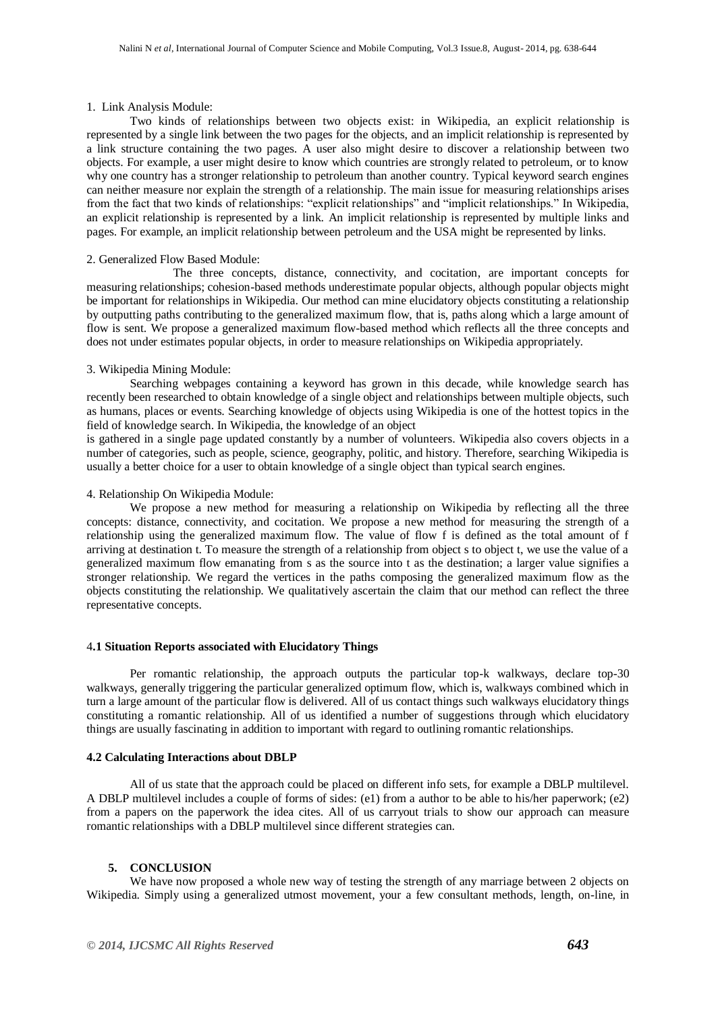#### 1. Link Analysis Module:

Two kinds of relationships between two objects exist: in Wikipedia, an explicit relationship is represented by a single link between the two pages for the objects, and an implicit relationship is represented by a link structure containing the two pages. A user also might desire to discover a relationship between two objects. For example, a user might desire to know which countries are strongly related to petroleum, or to know why one country has a stronger relationship to petroleum than another country. Typical keyword search engines can neither measure nor explain the strength of a relationship. The main issue for measuring relationships arises from the fact that two kinds of relationships: "explicit relationships" and "implicit relationships." In Wikipedia, an explicit relationship is represented by a link. An implicit relationship is represented by multiple links and pages. For example, an implicit relationship between petroleum and the USA might be represented by links.

#### 2. Generalized Flow Based Module:

The three concepts, distance, connectivity, and cocitation, are important concepts for measuring relationships; cohesion-based methods underestimate popular objects, although popular objects might be important for relationships in Wikipedia. Our method can mine elucidatory objects constituting a relationship by outputting paths contributing to the generalized maximum flow, that is, paths along which a large amount of flow is sent. We propose a generalized maximum flow-based method which reflects all the three concepts and does not under estimates popular objects, in order to measure relationships on Wikipedia appropriately.

#### 3. Wikipedia Mining Module:

Searching webpages containing a keyword has grown in this decade, while knowledge search has recently been researched to obtain knowledge of a single object and relationships between multiple objects, such as humans, places or events. Searching knowledge of objects using Wikipedia is one of the hottest topics in the field of knowledge search. In Wikipedia, the knowledge of an object

is gathered in a single page updated constantly by a number of volunteers. Wikipedia also covers objects in a number of categories, such as people, science, geography, politic, and history. Therefore, searching Wikipedia is usually a better choice for a user to obtain knowledge of a single object than typical search engines.

#### 4. Relationship On Wikipedia Module:

 We propose a new method for measuring a relationship on Wikipedia by reflecting all the three concepts: distance, connectivity, and cocitation. We propose a new method for measuring the strength of a relationship using the generalized maximum flow. The value of flow f is defined as the total amount of f arriving at destination t. To measure the strength of a relationship from object s to object t, we use the value of a generalized maximum flow emanating from s as the source into t as the destination; a larger value signifies a stronger relationship. We regard the vertices in the paths composing the generalized maximum flow as the objects constituting the relationship. We qualitatively ascertain the claim that our method can reflect the three representative concepts.

#### 4**.1 Situation Reports associated with Elucidatory Things**

Per romantic relationship, the approach outputs the particular top-k walkways, declare top-30 walkways, generally triggering the particular generalized optimum flow, which is, walkways combined which in turn a large amount of the particular flow is delivered. All of us contact things such walkways elucidatory things constituting a romantic relationship. All of us identified a number of suggestions through which elucidatory things are usually fascinating in addition to important with regard to outlining romantic relationships.

## **4.2 Calculating Interactions about DBLP**

All of us state that the approach could be placed on different info sets, for example a DBLP multilevel. A DBLP multilevel includes a couple of forms of sides: (e1) from a author to be able to his/her paperwork; (e2) from a papers on the paperwork the idea cites. All of us carryout trials to show our approach can measure romantic relationships with a DBLP multilevel since different strategies can.

#### **5. CONCLUSION**

We have now proposed a whole new way of testing the strength of any marriage between 2 objects on Wikipedia. Simply using a generalized utmost movement, your a few consultant methods, length, on-line, in